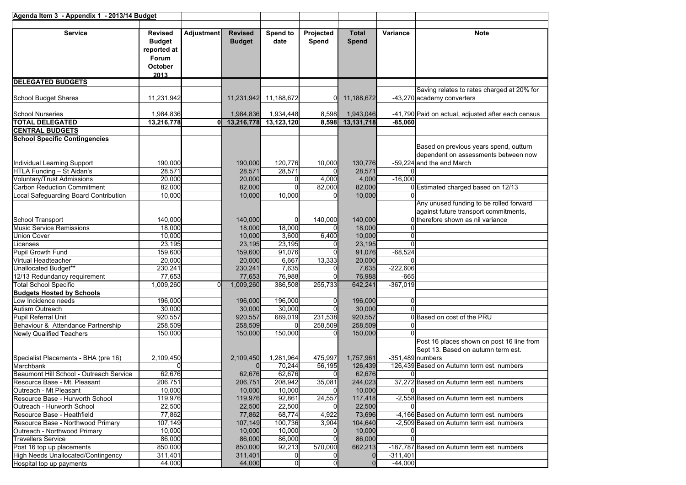| Agenda Item 3 - Appendix 1 - 2013/14 Budget |                                                                            |                   |                                 |                       |                    |                       |            |                                                                                                                       |
|---------------------------------------------|----------------------------------------------------------------------------|-------------------|---------------------------------|-----------------------|--------------------|-----------------------|------------|-----------------------------------------------------------------------------------------------------------------------|
| <b>Service</b>                              | <b>Revised</b><br><b>Budget</b><br>reported at<br>Forum<br>October<br>2013 | <b>Adjustment</b> | <b>Revised</b><br><b>Budget</b> | Spend to<br>date      | Projected<br>Spend | <b>Total</b><br>Spend | Variance   | <b>Note</b>                                                                                                           |
| <b>DELEGATED BUDGETS</b>                    |                                                                            |                   |                                 |                       |                    |                       |            |                                                                                                                       |
| School Budget Shares                        | 11,231,942                                                                 |                   |                                 | 11,231,942 11,188,672 | $\Omega$           | 11,188,672            |            | Saving relates to rates charged at 20% for<br>-43,270 academy converters                                              |
| <b>School Nurseries</b>                     | 1,984,836                                                                  |                   | 1,984,836                       | 1,934,448             | 8,598              | 1,943,046             |            | -41,790 Paid on actual, adjusted after each census                                                                    |
| <b>TOTAL DELEGATED</b>                      | 13,216,778                                                                 | Οl                | 13,216,778                      | 13,123,120            | 8,598              | 13,131,718            | $-85,060$  |                                                                                                                       |
| <b>CENTRAL BUDGETS</b>                      |                                                                            |                   |                                 |                       |                    |                       |            |                                                                                                                       |
| <b>School Specific Contingencies</b>        |                                                                            |                   |                                 |                       |                    |                       |            |                                                                                                                       |
| Individual Learning Support                 | 190,000                                                                    |                   | 190,000                         | 120,776               | 10,000             | 130,776               |            | Based on previous years spend, outturn<br>dependent on assessments between now<br>-59,224 and the end March           |
| HTLA Funding - St Aidan's                   | 28,571                                                                     |                   | 28,571                          | 28,571                |                    | 28,571                |            |                                                                                                                       |
| Voluntary/Trust Admissions                  | 20,000                                                                     |                   | 20,000                          |                       | 4,000              | 4,000                 | $-16,000$  |                                                                                                                       |
| <b>Carbon Reduction Commitment</b>          | 82,000                                                                     |                   | 82,000                          |                       | 82,000             | 82,000                |            | 0 Estimated charged based on 12/13                                                                                    |
| Local Safeguarding Board Contribution       | 10,000                                                                     |                   | 10,000                          | 10,000                |                    | 10,000                |            |                                                                                                                       |
| <b>School Transport</b>                     | 140,000                                                                    |                   | 140,000                         |                       | 140,000            | 140,000               |            | Any unused funding to be rolled forward<br>against future transport commitments,<br>0 therefore shown as nil variance |
| <b>Music Service Remissions</b>             | 18,000                                                                     |                   | 18,000                          | 18,000                |                    | 18,000                |            |                                                                                                                       |
| <b>Union Cover</b>                          | 10,000                                                                     |                   | 10,000                          | 3,600                 | 6,400              | 10,000                |            |                                                                                                                       |
| Licenses                                    | 23,195                                                                     |                   | 23,195                          | 23,195                |                    | 23,195                |            |                                                                                                                       |
| Pupil Growth Fund                           | 159,600                                                                    |                   | 159,600                         | 91,076                |                    | 91,076                | $-68,524$  |                                                                                                                       |
| Virtual Headteacher                         | 20,000                                                                     |                   | 20,000                          | 6,667                 | 13,333             | 20,000                |            |                                                                                                                       |
| Unallocated Budget**                        | 230,241                                                                    |                   | 230,241                         | 7,635                 |                    | 7,635                 | $-222,606$ |                                                                                                                       |
| 12/13 Redundancy requirement                | 77,653                                                                     |                   | 77,653                          | 76,988                |                    | 76,988                | $-665$     |                                                                                                                       |
| <b>Total School Specific</b>                | 1,009,260                                                                  |                   | 1,009,260                       | 386,508               | 255,733            | 642,241               | $-367,019$ |                                                                                                                       |
| <b>Budgets Hosted by Schools</b>            |                                                                            |                   |                                 |                       |                    |                       |            |                                                                                                                       |
| ow Incidence needs                          | 196,000                                                                    |                   | 196,000                         | 196,000               | O                  | 196,000               | ŋ          |                                                                                                                       |
| Autism Outreach                             | 30,000                                                                     |                   | 30,000                          | 30,000                |                    | 30,000                |            |                                                                                                                       |
| <b>Pupil Referral Unit</b>                  | 920,557                                                                    |                   | 920,557                         | 689,019               | 231,538            | 920,557               |            | 0 Based on cost of the PRU                                                                                            |
| Behaviour & Attendance Partnership          | 258,509                                                                    |                   | 258,509                         |                       | 258,509            | 258,509               |            |                                                                                                                       |
| Newly Qualified Teachers                    | 150,000                                                                    |                   | 150,000                         | 150,000               |                    | 150,000               |            |                                                                                                                       |
| Specialist Placements - BHA (pre 16)        | 2,109,450                                                                  |                   | 2,109,450                       | 1,281,964             | 475,997            | 1,757,961             |            | Post 16 places shown on post 16 line from<br>Sept 13. Based on autumn term est.<br>$-351,489$ numbers                 |
| Marchbank                                   |                                                                            |                   |                                 | 70,244                | 56,195             | 126,439               |            | 126,439 Based on Autumn term est. numbers                                                                             |
| Beaumont Hill School - Outreach Service     | 62,676                                                                     |                   | 62.676                          | 62,676                | $\Omega$           | 62,676                | $\Omega$   |                                                                                                                       |
| Resource Base - Mt. Pleasant                | 206,751                                                                    |                   | 206,751                         | 208,942               | 35,081             | 244,023               |            | 37,272 Based on Autumn term est. numbers                                                                              |
| Outreach - Mt Pleasant                      | 10,000                                                                     |                   | 10,000                          | 10,000                |                    | 10,000                |            |                                                                                                                       |
| Resource Base - Hurworth School             | 119,976                                                                    |                   | 119,976                         | 92,861                | 24,557             | 117,418               |            | -2,558 Based on Autumn term est. numbers                                                                              |
| Outreach - Hurworth School                  | 22,500                                                                     |                   | 22,500                          | 22,500                |                    | 22,500                |            |                                                                                                                       |
| Resource Base - Heathfield                  | 77,862                                                                     |                   | 77,862                          | 68,774                | 4,922              | 73,696                |            | -4,166 Based on Autumn term est. numbers                                                                              |
| Resource Base - Northwood Primary           | 107,149                                                                    |                   | 107,149                         | 100,736               | 3,904              | 104,640               |            | -2,509 Based on Autumn term est. numbers                                                                              |
| Outreach - Northwood Primary                | 10,000                                                                     |                   | 10,000                          | 10,000                |                    | 10,000                |            |                                                                                                                       |
| <b>Travellers Service</b>                   | 86,000                                                                     |                   | 86,000                          | 86,000                |                    | 86,000                |            |                                                                                                                       |
| Post 16 top up placements                   | 850,000                                                                    |                   | 850,000                         | 92,213                | 570,000            | 662,213               |            | -187,787 Based on Autumn term est. numbers                                                                            |
| <b>High Needs Unallocated/Contingency</b>   | 311,401                                                                    |                   | 311,401                         |                       |                    |                       | $-311,401$ |                                                                                                                       |
| Hospital top up payments                    | 44,000                                                                     |                   | 44,000                          |                       |                    | $\mathbf 0$           | $-44,000$  |                                                                                                                       |